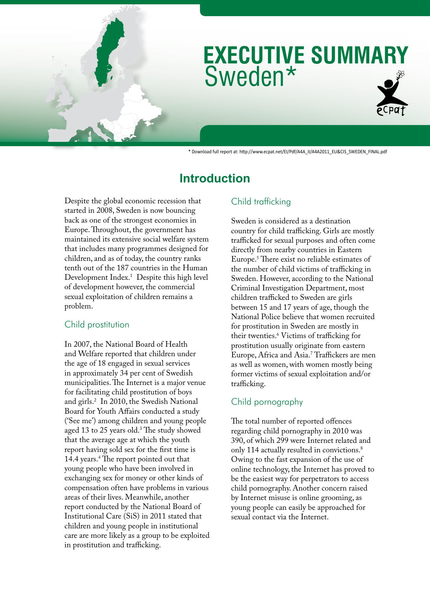# Sweden\* **EXECUTIVE SUMMARY**

\* Download full report at: http://www.ecpat.net/EI/Pdf/A4A\_II/A4A2011\_EU&CIS\_SWEDEN\_FINAL.pdf

# **Introduction**

Despite the global economic recession that started in 2008, Sweden is now bouncing back as one of the strongest economies in Europe. Throughout, the government has maintained its extensive social welfare system that includes many programmes designed for children, and as of today, the country ranks tenth out of the 187 countries in the Human Development Index.1 Despite this high level of development however, the commercial sexual exploitation of children remains a problem.

# Child prostitution

In 2007, the National Board of Health and Welfare reported that children under the age of 18 engaged in sexual services in approximately 34 per cent of Swedish municipalities. The Internet is a major venue for facilitating child prostitution of boys and girls.2 In 2010, the Swedish National Board for Youth Affairs conducted a study ('See me') among children and young people aged 13 to 25 years old.<sup>3</sup> The study showed that the average age at which the youth report having sold sex for the first time is 14.4 years.<sup>4</sup> The report pointed out that young people who have been involved in exchanging sex for money or other kinds of compensation often have problems in various areas of their lives. Meanwhile, another report conducted by the National Board of Institutional Care (SiS) in 2011 stated that children and young people in institutional care are more likely as a group to be exploited in prostitution and trafficking.

# Child trafficking

Sweden is considered as a destination country for child trafficking. Girls are mostly trafficked for sexual purposes and often come directly from nearby countries in Eastern Europe.5 There exist no reliable estimates of the number of child victims of trafficking in Sweden. However, according to the National Criminal Investigation Department, most children trafficked to Sweden are girls between 15 and 17 years of age, though the National Police believe that women recruited for prostitution in Sweden are mostly in their twenties.6 Victims of trafficking for prostitution usually originate from eastern Europe, Africa and Asia.7 Traffickers are men as well as women, with women mostly being former victims of sexual exploitation and/or trafficking.

# Child pornography

The total number of reported offences regarding child pornography in 2010 was 390, of which 299 were Internet related and only 114 actually resulted in convictions.<sup>8</sup> Owing to the fast expansion of the use of online technology, the Internet has proved to be the easiest way for perpetrators to access child pornography. Another concern raised by Internet misuse is online grooming, as young people can easily be approached for sexual contact via the Internet.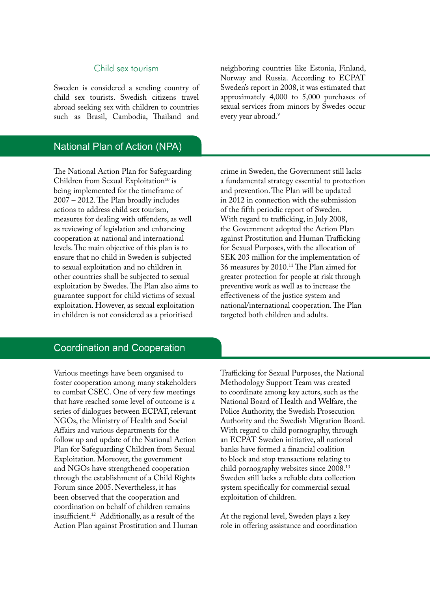#### Child sex tourism

Sweden is considered a sending country of child sex tourists. Swedish citizens travel abroad seeking sex with children to countries such as Brasil, Cambodia, Thailand and

# National Plan of Action (NPA)

The National Action Plan for Safeguarding Children from Sexual Exploitation<sup>10</sup> is being implemented for the timeframe of 2007 – 2012. The Plan broadly includes actions to address child sex tourism, measures for dealing with offenders, as well as reviewing of legislation and enhancing cooperation at national and international levels. The main objective of this plan is to ensure that no child in Sweden is subjected to sexual exploitation and no children in other countries shall be subjected to sexual exploitation by Swedes. The Plan also aims to guarantee support for child victims of sexual exploitation. However, as sexual exploitation in children is not considered as a prioritised

neighboring countries like Estonia, Finland, Norway and Russia. According to ECPAT Sweden's report in 2008, it was estimated that approximately 4,000 to 5,000 purchases of sexual services from minors by Swedes occur every year abroad.<sup>9</sup>

crime in Sweden, the Government still lacks a fundamental strategy essential to protection and prevention. The Plan will be updated in 2012 in connection with the submission of the fifth periodic report of Sweden. With regard to trafficking, in July 2008, the Government adopted the Action Plan against Prostitution and Human Trafficking for Sexual Purposes, with the allocation of SEK 203 million for the implementation of 36 measures by 2010.11 The Plan aimed for greater protection for people at risk through preventive work as well as to increase the effectiveness of the justice system and national/international cooperation. The Plan targeted both children and adults.

#### Coordination and Cooperation

Various meetings have been organised to foster cooperation among many stakeholders to combat CSEC. One of very few meetings that have reached some level of outcome is a series of dialogues between ECPAT, relevant NGOs, the Ministry of Health and Social Affairs and various departments for the follow up and update of the National Action Plan for Safeguarding Children from Sexual Exploitation. Moreover, the government and NGOs have strengthened cooperation through the establishment of a Child Rights Forum since 2005. Nevertheless, it has been observed that the cooperation and coordination on behalf of children remains insufficient.12 Additionally, as a result of the Action Plan against Prostitution and Human Trafficking for Sexual Purposes, the National Methodology Support Team was created to coordinate among key actors, such as the National Board of Health and Welfare, the Police Authority, the Swedish Prosecution Authority and the Swedish Migration Board. With regard to child pornography, through an ECPAT Sweden initiative, all national banks have formed a financial coalition to block and stop transactions relating to child pornography websites since 2008.13 Sweden still lacks a reliable data collection system specifically for commercial sexual exploitation of children.

At the regional level, Sweden plays a key role in offering assistance and coordination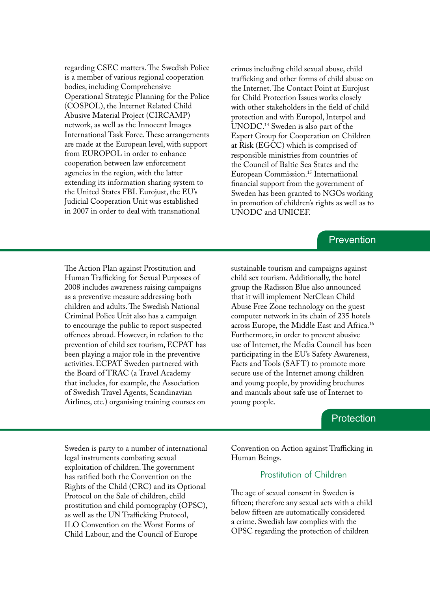regarding CSEC matters. The Swedish Police is a member of various regional cooperation bodies, including Comprehensive Operational Strategic Planning for the Police (COSPOL), the Internet Related Child Abusive Material Project (CIRCAMP) network, as well as the Innocent Images International Task Force. These arrangements are made at the European level, with support from EUROPOL in order to enhance cooperation between law enforcement agencies in the region, with the latter extending its information sharing system to the United States FBI. Eurojust, the EU's Judicial Cooperation Unit was established in 2007 in order to deal with transnational

crimes including child sexual abuse, child trafficking and other forms of child abuse on the Internet. The Contact Point at Eurojust for Child Protection Issues works closely with other stakeholders in the field of child protection and with Europol, Interpol and UNODC.14 Sweden is also part of the Expert Group for Cooperation on Children at Risk (EGCC) which is comprised of responsible ministries from countries of the Council of Baltic Sea States and the European Commission.15 Internatiional financial support from the government of Sweden has been granted to NGOs working in promotion of children's rights as well as to UNODC and UNICEF.

#### **Prevention**

The Action Plan against Prostitution and Human Trafficking for Sexual Purposes of 2008 includes awareness raising campaigns as a preventive measure addressing both children and adults. The Swedish National Criminal Police Unit also has a campaign to encourage the public to report suspected offences abroad. However, in relation to the prevention of child sex tourism, ECPAT has been playing a major role in the preventive activities. ECPAT Sweden partnered with the Board of TRAC (a Travel Academy that includes, for example, the Association of Swedish Travel Agents, Scandinavian Airlines, etc.) organising training courses on

sustainable tourism and campaigns against child sex tourism. Additionally, the hotel group the Radisson Blue also announced that it will implement NetClean Child Abuse Free Zone technology on the guest computer network in its chain of 235 hotels across Europe, the Middle East and Africa.16 Furthermore, in order to prevent abusive use of Internet, the Media Council has been participating in the EU's Safety Awareness, Facts and Tools (SAFT) to promote more secure use of the Internet among children and young people, by providing brochures and manuals about safe use of Internet to young people.

#### **Protection**

Sweden is party to a number of international legal instruments combating sexual exploitation of children. The government has ratified both the Convention on the Rights of the Child (CRC) and its Optional Protocol on the Sale of children, child prostitution and child pornography (OPSC), as well as the UN Trafficking Protocol, ILO Convention on the Worst Forms of Child Labour, and the Council of Europe

Convention on Action against Trafficking in Human Beings.

#### Prostitution of Children

The age of sexual consent in Sweden is fifteen; therefore any sexual acts with a child below fifteen are automatically considered a crime. Swedish law complies with the OPSC regarding the protection of children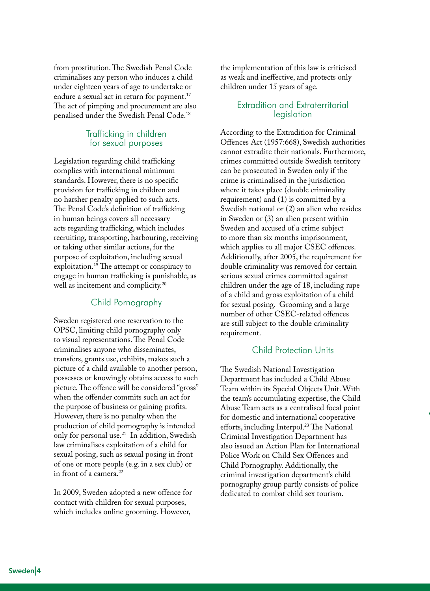from prostitution. The Swedish Penal Code criminalises any person who induces a child under eighteen years of age to undertake or endure a sexual act in return for payment.<sup>17</sup> The act of pimping and procurement are also penalised under the Swedish Penal Code.18

#### Trafficking in children for sexual purposes

Legislation regarding child trafficking complies with international minimum standards. However, there is no specific provision for trafficking in children and no harsher penalty applied to such acts. The Penal Code's definition of trafficking in human beings covers all necessary acts regarding trafficking, which includes recruiting, transporting, harbouring, receiving or taking other similar actions, for the purpose of exploitation, including sexual exploitation.19 The attempt or conspiracy to engage in human trafficking is punishable, as well as incitement and complicity.<sup>20</sup>

# Child Pornography

Sweden registered one reservation to the OPSC, limiting child pornography only to visual representations. The Penal Code criminalises anyone who disseminates, transfers, grants use, exhibits, makes such a picture of a child available to another person, possesses or knowingly obtains access to such picture. The offence will be considered "gross" when the offender commits such an act for the purpose of business or gaining profits. However, there is no penalty when the production of child pornography is intended only for personal use.21 In addition, Swedish law criminalises exploitation of a child for sexual posing, such as sexual posing in front of one or more people (e.g. in a sex club) or in front of a camera.<sup>22</sup>

In 2009, Sweden adopted a new offence for contact with children for sexual purposes, which includes online grooming. However,

the implementation of this law is criticised as weak and ineffective, and protects only children under 15 years of age.

#### Extradition and Extraterritorial legislation

According to the Extradition for Criminal Offences Act (1957:668), Swedish authorities cannot extradite their nationals. Furthermore, crimes committed outside Swedish territory can be prosecuted in Sweden only if the crime is criminalised in the jurisdiction where it takes place (double criminality requirement) and (1) is committed by a Swedish national or (2) an alien who resides in Sweden or (3) an alien present within Sweden and accused of a crime subject to more than six months imprisonment, which applies to all major CSEC offences. Additionally, after 2005, the requirement for double criminality was removed for certain serious sexual crimes committed against children under the age of 18, including rape of a child and gross exploitation of a child for sexual posing. Grooming and a large number of other CSEC-related offences are still subject to the double criminality requirement.

# Child Protection Units

The Swedish National Investigation Department has included a Child Abuse Team within its Special Objects Unit. With the team's accumulating expertise, the Child Abuse Team acts as a centralised focal point for domestic and international cooperative efforts, including Interpol.<sup>23</sup> The National Criminal Investigation Department has also issued an Action Plan for International Police Work on Child Sex Offences and Child Pornography. Additionally, the criminal investigation department's child pornography group partly consists of police dedicated to combat child sex tourism.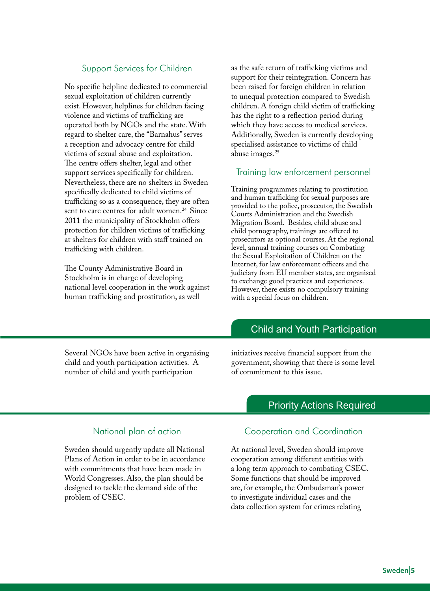# Support Services for Children

No specific helpline dedicated to commercial sexual exploitation of children currently exist. However, helplines for children facing violence and victims of trafficking are operated both by NGOs and the state. With regard to shelter care, the "Barnahus" serves a reception and advocacy centre for child victims of sexual abuse and exploitation. The centre offers shelter, legal and other support services specifically for children. Nevertheless, there are no shelters in Sweden specifically dedicated to child victims of trafficking so as a consequence, they are often sent to care centres for adult women.<sup>24</sup> Since 2011 the municipality of Stockholm offers protection for children victims of trafficking at shelters for children with staff trained on trafficking with children.

The County Administrative Board in Stockholm is in charge of developing national level cooperation in the work against human trafficking and prostitution, as well

as the safe return of trafficking victims and support for their reintegration. Concern has been raised for foreign children in relation to unequal protection compared to Swedish children. A foreign child victim of trafficking has the right to a reflection period during which they have access to medical services. Additionally, Sweden is currently developing specialised assistance to victims of child abuse images.25

#### Training law enforcement personnel

Training programmes relating to prostitution and human trafficking for sexual purposes are provided to the police, prosecutor, the Swedish Courts Administration and the Swedish Migration Board. Besides, child abuse and child pornography, trainings are offered to prosecutors as optional courses. At the regional level, annual training courses on Combating the Sexual Exploitation of Children on the Internet, for law enforcement officers and the judiciary from EU member states, are organised to exchange good practices and experiences. However, there exists no compulsory training with a special focus on children.

# Child and Youth Participation

Several NGOs have been active in organising child and youth participation activities. A number of child and youth participation

initiatives receive financial support from the government, showing that there is some level of commitment to this issue.

# Priority Actions Required

#### National plan of action

Sweden should urgently update all National Plans of Action in order to be in accordance with commitments that have been made in World Congresses. Also, the plan should be designed to tackle the demand side of the problem of CSEC.

Cooperation and Coordination

At national level, Sweden should improve cooperation among different entities with a long term approach to combating CSEC. Some functions that should be improved are, for example, the Ombudsman's power to investigate individual cases and the data collection system for crimes relating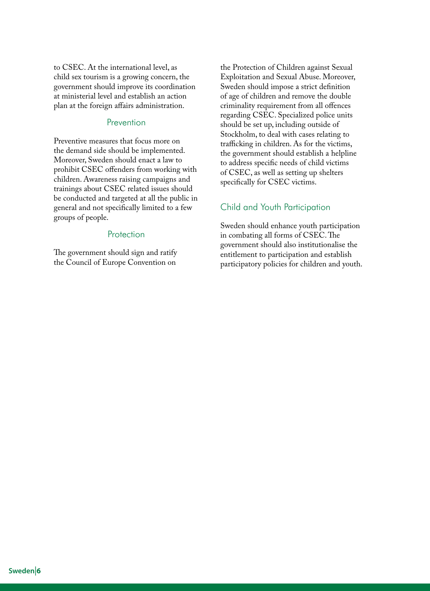to CSEC. At the international level, as child sex tourism is a growing concern, the government should improve its coordination at ministerial level and establish an action plan at the foreign affairs administration.

#### **Prevention**

Preventive measures that focus more on the demand side should be implemented. Moreover, Sweden should enact a law to prohibit CSEC offenders from working with children. Awareness raising campaigns and trainings about CSEC related issues should be conducted and targeted at all the public in general and not specifically limited to a few groups of people.

#### Protection

The government should sign and ratify the Council of Europe Convention on

the Protection of Children against Sexual Exploitation and Sexual Abuse. Moreover, Sweden should impose a strict definition of age of children and remove the double criminality requirement from all offences regarding CSEC. Specialized police units should be set up, including outside of Stockholm, to deal with cases relating to trafficking in children. As for the victims, the government should establish a helpline to address specific needs of child victims of CSEC, as well as setting up shelters specifically for CSEC victims.

#### Child and Youth Participation

Sweden should enhance youth participation in combating all forms of CSEC. The government should also institutionalise the entitlement to participation and establish participatory policies for children and youth.